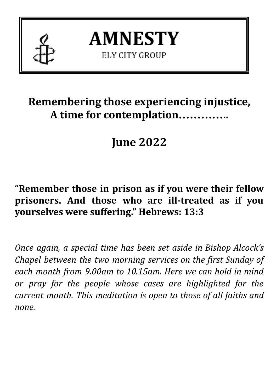

**AMNESTY ELY CITY GROUP** 

## **Remembering those experiencing injustice, A time for contemplation…………..**

# **June 2022**

## **"Remember those in prison as if you were their fellow prisoners. And those who are ill-treated as if you yourselves were suffering." Hebrews: 13:3**

*Once again, a special time has been set aside in Bishop Alcock's Chapel between the two morning services on the first Sunday of each month from 9.00am to 10.15am. Here we can hold in mind or pray for the people whose cases are highlighted for the current month. This meditation is open to those of all faiths and none.*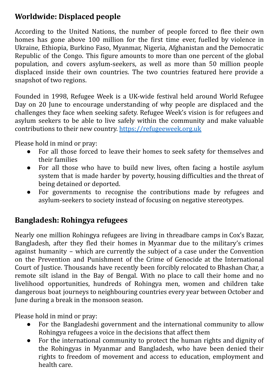### **Worldwide: Displaced people**

According to the United Nations, the number of people forced to flee their own homes has gone above 100 million for the first time ever, fuelled by violence in Ukraine, Ethiopia, Burkino Faso, Myanmar, Nigeria, Afghanistan and the Democratic Republic of the Congo. This figure amounts to more than one percent of the global population, and covers asylum-seekers, as well as more than 50 million people displaced inside their own countries. The two countries featured here provide a snapshot of two regions.

Founded in 1998, Refugee Week is a UK-wide festival held around World Refugee Day on 20 June to encourage understanding of why people are displaced and the challenges they face when seeking safety. Refugee Week's vision is for refugees and asylum seekers to be able to live safely within the community and make valuable contributions to their new country. <https://refugeeweek.org.uk>

Please hold in mind or pray:

- For all those forced to leave their homes to seek safety for themselves and their families
- For all those who have to build new lives, often facing a hostile asylum system that is made harder by poverty, housing difficulties and the threat of being detained or deported.
- For governments to recognise the contributions made by refugees and asylum-seekers to society instead of focusing on negative stereotypes.

#### **Bangladesh: Rohingya refugees**

Nearly one million Rohingya refugees are living in threadbare camps in Cox's Bazar, Bangladesh, after they fled their homes in Myanmar due to the military's crimes against humanity – which are currently the subject of a case under the Convention on the Prevention and Punishment of the Crime of Genocide at the International Court of Justice. Thousands have recently been forcibly relocated to Bhashan Char, a remote silt island in the Bay of Bengal. With no place to call their home and no livelihood opportunities, hundreds of Rohingya men, women and children take dangerous boat journeys to neighbouring countries every year between October and June during a break in the monsoon season.

Please hold in mind or pray:

- For the Bangladeshi government and the international community to allow Rohingya refugees a voice in the decisions that affect them
- For the international community to protect the human rights and dignity of the Rohingyas in Myanmar and Bangladesh, who have been denied their rights to freedom of movement and access to education, employment and health care.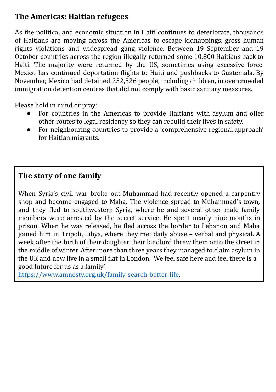### **The Americas: Haitian refugees**

As the political and economic situation in Haiti continues to deteriorate, thousands of Haitians are moving across the Americas to escape kidnappings, gross human rights violations and widespread gang violence. Between 19 September and 19 October countries across the region illegally returned some 10,800 Haitians back to Haiti. The majority were returned by the US, sometimes using excessive force. Mexico has continued deportation flights to Haiti and pushbacks to Guatemala. By November, Mexico had detained 252,526 people, including children, in overcrowded immigration detention centres that did not comply with basic sanitary measures.

Please hold in mind or pray:

- For countries in the Americas to provide Haitians with asylum and offer other routes to legal residency so they can rebuild their lives in safety.
- For neighbouring countries to provide a 'comprehensive regional approach' for Haitian migrants.

#### **The story of one family**

When Syria's civil war broke out Muhammad had recently opened a carpentry shop and become engaged to Maha. The violence spread to Muhammad's town, and they fled to southwestern Syria, where he and several other male family members were arrested by the secret service. He spent nearly nine months in prison. When he was released, he fled across the border to Lebanon and Maha joined him in Tripoli, Libya, where they met daily abuse – verbal and physical. A week after the birth of their daughter their landlord threw them onto the street in the middle of winter. After more than three years they managed to claim asylum in the UK and now live in a small flat in London. 'We feel safe here and feel there is a good future for us as a family'.

[https://www.amnesty.org.uk/family-search-better-life.](https://www.amnesty.org.uk/family-search-better-life)